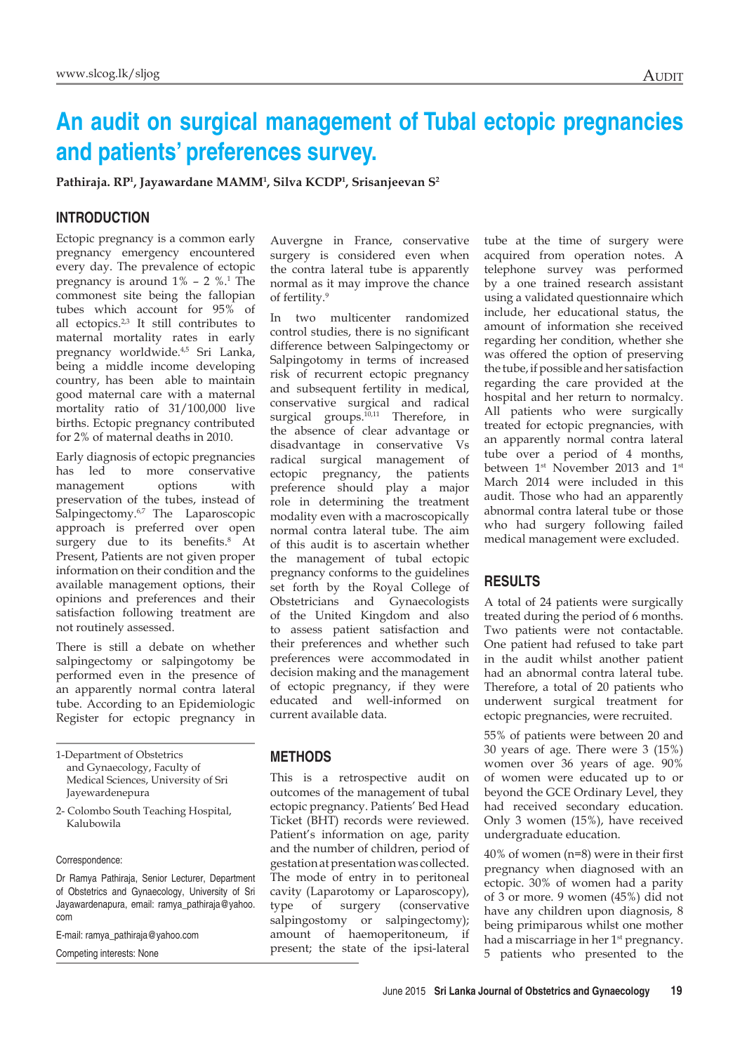# **An audit on surgical management of Tubal ectopic pregnancies and patients' preferences survey.**

**Pathiraja. RP1 , Jayawardane MAMM1 , Silva KCDP1 , Srisanjeevan S2**

## **INTRODUCTION**

Ectopic pregnancy is a common early pregnancy emergency encountered every day. The prevalence of ectopic pregnancy is around  $1\%$  – 2  $\%$ .<sup>1</sup> The commonest site being the fallopian tubes which account for 95% of all ectopics.<sup>2,3</sup> It still contributes to maternal mortality rates in early pregnancy worldwide.<sup>4,5</sup> Sri Lanka, being a middle income developing country, has been able to maintain good maternal care with a maternal mortality ratio of 31/100,000 live births. Ectopic pregnancy contributed for 2% of maternal deaths in 2010.

Early diagnosis of ectopic pregnancies has led to more conservative management options with preservation of the tubes, instead of Salpingectomy.<sup>6,7</sup> The Laparoscopic approach is preferred over open surgery due to its benefits.<sup>8</sup> At Present, Patients are not given proper information on their condition and the available management options, their opinions and preferences and their satisfaction following treatment are not routinely assessed.

There is still a debate on whether salpingectomy or salpingotomy be performed even in the presence of an apparently normal contra lateral tube. According to an Epidemiologic Register for ectopic pregnancy in

Correspondence:

Dr Ramya Pathiraja, Senior Lecturer, Department of Obstetrics and Gynaecology, University of Sri Jayawardenapura, email: ramya\_pathiraja@yahoo. com

E-mail: ramya\_pathiraja@yahoo.com

Competing interests: None

Auvergne in France, conservative surgery is considered even when the contra lateral tube is apparently normal as it may improve the chance of fertility.9

In two multicenter randomized control studies, there is no significant difference between Salpingectomy or Salpingotomy in terms of increased risk of recurrent ectopic pregnancy and subsequent fertility in medical, conservative surgical and radical surgical groups.<sup>10,11</sup> Therefore, in the absence of clear advantage or disadvantage in conservative Vs radical surgical management of ectopic pregnancy, the patients preference should play a major role in determining the treatment modality even with a macroscopically normal contra lateral tube. The aim of this audit is to ascertain whether the management of tubal ectopic pregnancy conforms to the guidelines set forth by the Royal College of Obstetricians and Gynaecologists of the United Kingdom and also to assess patient satisfaction and their preferences and whether such preferences were accommodated in decision making and the management of ectopic pregnancy, if they were educated and well-informed on current available data.

#### **METHODS**

This is a retrospective audit on outcomes of the management of tubal ectopic pregnancy. Patients' Bed Head Ticket (BHT) records were reviewed. Patient's information on age, parity and the number of children, period of gestation at presentation was collected. The mode of entry in to peritoneal cavity (Laparotomy or Laparoscopy), type of surgery (conservative salpingostomy or salpingectomy); amount of haemoperitoneum, if present; the state of the ipsi-lateral

tube at the time of surgery were acquired from operation notes. A telephone survey was performed by a one trained research assistant using a validated questionnaire which include, her educational status, the amount of information she received regarding her condition, whether she was offered the option of preserving the tube, if possible and her satisfaction regarding the care provided at the hospital and her return to normalcy. All patients who were surgically treated for ectopic pregnancies, with an apparently normal contra lateral tube over a period of 4 months, between 1<sup>st</sup> November 2013 and 1<sup>st</sup> March 2014 were included in this audit. Those who had an apparently abnormal contra lateral tube or those who had surgery following failed medical management were excluded.

### **RESULTS**

A total of 24 patients were surgically treated during the period of 6 months. Two patients were not contactable. One patient had refused to take part in the audit whilst another patient had an abnormal contra lateral tube. Therefore, a total of 20 patients who underwent surgical treatment for ectopic pregnancies, were recruited.

55% of patients were between 20 and 30 years of age. There were 3 (15%) women over 36 years of age. 90% of women were educated up to or beyond the GCE Ordinary Level, they had received secondary education. Only 3 women (15%), have received undergraduate education.

40% of women (n=8) were in their first pregnancy when diagnosed with an ectopic. 30% of women had a parity of 3 or more. 9 women (45%) did not have any children upon diagnosis, 8 being primiparous whilst one mother had a miscarriage in her  $1<sup>st</sup>$  pregnancy. 5 patients who presented to the

<sup>1-</sup>Department of Obstetrics and Gynaecology, Faculty of Medical Sciences, University of Sri Jayewardenepura

<sup>2-</sup> Colombo South Teaching Hospital, Kalubowila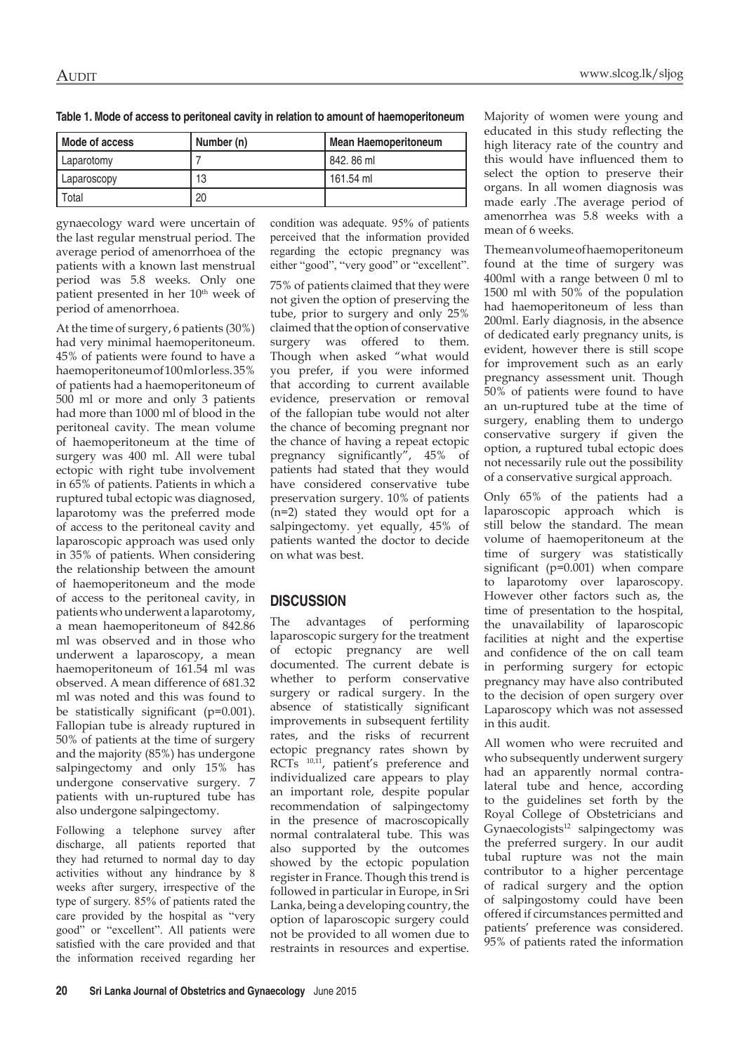| Mode of access | Number (n) | <b>Mean Haemoperitoneum</b> |
|----------------|------------|-----------------------------|
| Laparotomy     |            | 842.86 ml                   |
| Laparoscopy    | 13         | 161.54 ml                   |
| Total          | 20         |                             |

gynaecology ward were uncertain of the last regular menstrual period. The average period of amenorrhoea of the patients with a known last menstrual period was 5.8 weeks. Only one patient presented in her 10<sup>th</sup> week of period of amenorrhoea.

At the time of surgery, 6 patients (30%) had very minimal haemoperitoneum. 45% of patients were found to have a haemoperitoneum of 100 ml or less. 35% of patients had a haemoperitoneum of 500 ml or more and only 3 patients had more than 1000 ml of blood in the peritoneal cavity. The mean volume of haemoperitoneum at the time of surgery was 400 ml. All were tubal ectopic with right tube involvement in 65% of patients. Patients in which a ruptured tubal ectopic was diagnosed, laparotomy was the preferred mode of access to the peritoneal cavity and laparoscopic approach was used only in 35% of patients. When considering the relationship between the amount of haemoperitoneum and the mode of access to the peritoneal cavity, in patients who underwent a laparotomy, a mean haemoperitoneum of 842.86 ml was observed and in those who underwent a laparoscopy, a mean haemoperitoneum of 161.54 ml was observed. A mean difference of 681.32 ml was noted and this was found to be statistically significant (p=0.001). Fallopian tube is already ruptured in 50% of patients at the time of surgery and the majority (85%) has undergone salpingectomy and only 15% has undergone conservative surgery. 7 patients with un-ruptured tube has also undergone salpingectomy.

Following a telephone survey after discharge, all patients reported that they had returned to normal day to day activities without any hindrance by 8 weeks after surgery, irrespective of the type of surgery. 85% of patients rated the care provided by the hospital as "very good" or "excellent". All patients were satisfied with the care provided and that the information received regarding her condition was adequate. 95% of patients perceived that the information provided regarding the ectopic pregnancy was either "good", "very good" or "excellent". 75% of patients claimed that they were not given the option of preserving the tube, prior to surgery and only 25% claimed that the option of conservative surgery was offered to them. Though when asked "what would you prefer, if you were informed

that according to current available evidence, preservation or removal of the fallopian tube would not alter the chance of becoming pregnant nor the chance of having a repeat ectopic pregnancy significantly", 45% of patients had stated that they would have considered conservative tube preservation surgery. 10% of patients (n=2) stated they would opt for a salpingectomy. yet equally, 45% of patients wanted the doctor to decide on what was best.

## **DISCUSSION**

The advantages of performing laparoscopic surgery for the treatment of ectopic pregnancy are well documented. The current debate is whether to perform conservative surgery or radical surgery. In the absence of statistically significant improvements in subsequent fertility rates, and the risks of recurrent ectopic pregnancy rates shown by RCTs<sup>10,11</sup>, patient's preference and individualized care appears to play an important role, despite popular recommendation of salpingectomy in the presence of macroscopically normal contralateral tube. This was also supported by the outcomes showed by the ectopic population register in France. Though this trend is followed in particular in Europe, in Sri Lanka, being a developing country, the option of laparoscopic surgery could not be provided to all women due to restraints in resources and expertise. Majority of women were young and educated in this study reflecting the high literacy rate of the country and this would have influenced them to select the option to preserve their organs. In all women diagnosis was made early .The average period of amenorrhea was 5.8 weeks with a mean of 6 weeks.

The mean volume of haemoperitoneum found at the time of surgery was 400ml with a range between 0 ml to 1500 ml with 50% of the population had haemoperitoneum of less than 200ml. Early diagnosis, in the absence of dedicated early pregnancy units, is evident, however there is still scope for improvement such as an early pregnancy assessment unit. Though 50% of patients were found to have an un-ruptured tube at the time of surgery, enabling them to undergo conservative surgery if given the option, a ruptured tubal ectopic does not necessarily rule out the possibility of a conservative surgical approach.

Only 65% of the patients had a laparoscopic approach which is still below the standard. The mean volume of haemoperitoneum at the time of surgery was statistically significant (p=0.001) when compare to laparotomy over laparoscopy. However other factors such as, the time of presentation to the hospital, the unavailability of laparoscopic facilities at night and the expertise and confidence of the on call team in performing surgery for ectopic pregnancy may have also contributed to the decision of open surgery over Laparoscopy which was not assessed in this audit.

All women who were recruited and who subsequently underwent surgery had an apparently normal contralateral tube and hence, according to the guidelines set forth by the Royal College of Obstetricians and Gynaecologists<sup>12</sup> salpingectomy was the preferred surgery. In our audit tubal rupture was not the main contributor to a higher percentage of radical surgery and the option of salpingostomy could have been offered if circumstances permitted and patients' preference was considered. 95% of patients rated the information